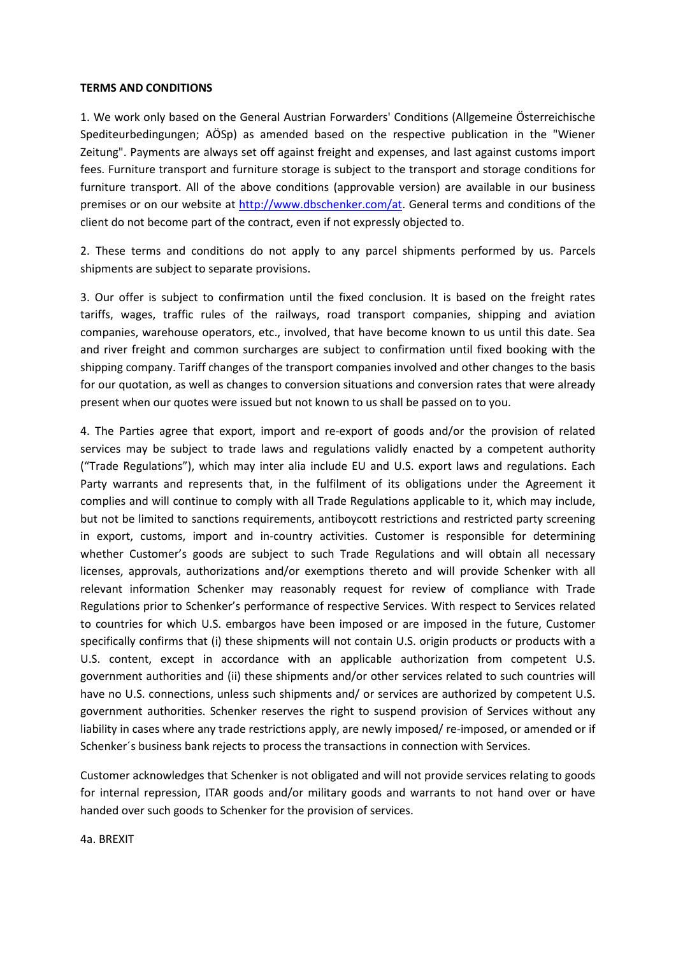## **TERMS AND CONDITIONS**

1. We work only based on the General Austrian Forwarders' Conditions (Allgemeine Österreichische Spediteurbedingungen; AÖSp) as amended based on the respective publication in the "Wiener Zeitung". Payments are always set off against freight and expenses, and last against customs import fees. Furniture transport and furniture storage is subject to the transport and storage conditions for furniture transport. All of the above conditions (approvable version) are available in our business premises or on our website at [http://www.dbschenker.com/at.](http://www.dbschenker.com/at) General terms and conditions of the client do not become part of the contract, even if not expressly objected to.

2. These terms and conditions do not apply to any parcel shipments performed by us. Parcels shipments are subject to separate provisions.

3. Our offer is subject to confirmation until the fixed conclusion. It is based on the freight rates tariffs, wages, traffic rules of the railways, road transport companies, shipping and aviation companies, warehouse operators, etc., involved, that have become known to us until this date. Sea and river freight and common surcharges are subject to confirmation until fixed booking with the shipping company. Tariff changes of the transport companies involved and other changes to the basis for our quotation, as well as changes to conversion situations and conversion rates that were already present when our quotes were issued but not known to us shall be passed on to you.

4. The Parties agree that export, import and re-export of goods and/or the provision of related services may be subject to trade laws and regulations validly enacted by a competent authority ("Trade Regulations"), which may inter alia include EU and U.S. export laws and regulations. Each Party warrants and represents that, in the fulfilment of its obligations under the Agreement it complies and will continue to comply with all Trade Regulations applicable to it, which may include, but not be limited to sanctions requirements, antiboycott restrictions and restricted party screening in export, customs, import and in-country activities. Customer is responsible for determining whether Customer's goods are subject to such Trade Regulations and will obtain all necessary licenses, approvals, authorizations and/or exemptions thereto and will provide Schenker with all relevant information Schenker may reasonably request for review of compliance with Trade Regulations prior to Schenker's performance of respective Services. With respect to Services related to countries for which U.S. embargos have been imposed or are imposed in the future, Customer specifically confirms that (i) these shipments will not contain U.S. origin products or products with a U.S. content, except in accordance with an applicable authorization from competent U.S. government authorities and (ii) these shipments and/or other services related to such countries will have no U.S. connections, unless such shipments and/ or services are authorized by competent U.S. government authorities. Schenker reserves the right to suspend provision of Services without any liability in cases where any trade restrictions apply, are newly imposed/ re-imposed, or amended or if Schenker´s business bank rejects to process the transactions in connection with Services.

Customer acknowledges that Schenker is not obligated and will not provide services relating to goods for internal repression, ITAR goods and/or military goods and warrants to not hand over or have handed over such goods to Schenker for the provision of services.

4a. BREXIT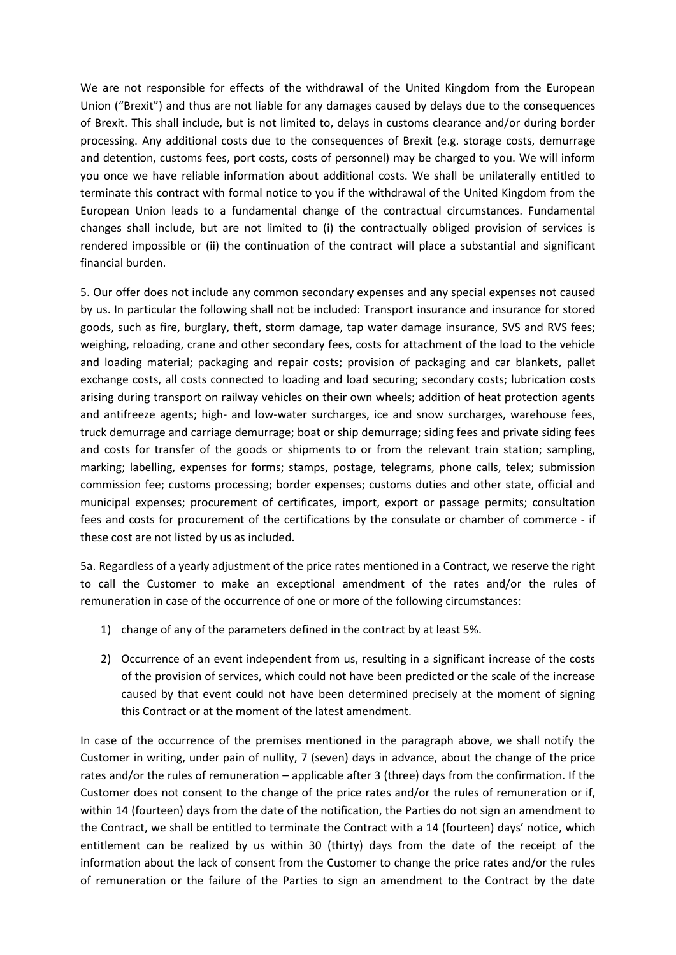We are not responsible for effects of the withdrawal of the United Kingdom from the European Union ("Brexit") and thus are not liable for any damages caused by delays due to the consequences of Brexit. This shall include, but is not limited to, delays in customs clearance and/or during border processing. Any additional costs due to the consequences of Brexit (e.g. storage costs, demurrage and detention, customs fees, port costs, costs of personnel) may be charged to you. We will inform you once we have reliable information about additional costs. We shall be unilaterally entitled to terminate this contract with formal notice to you if the withdrawal of the United Kingdom from the European Union leads to a fundamental change of the contractual circumstances. Fundamental changes shall include, but are not limited to (i) the contractually obliged provision of services is rendered impossible or (ii) the continuation of the contract will place a substantial and significant financial burden.

5. Our offer does not include any common secondary expenses and any special expenses not caused by us. In particular the following shall not be included: Transport insurance and insurance for stored goods, such as fire, burglary, theft, storm damage, tap water damage insurance, SVS and RVS fees; weighing, reloading, crane and other secondary fees, costs for attachment of the load to the vehicle and loading material; packaging and repair costs; provision of packaging and car blankets, pallet exchange costs, all costs connected to loading and load securing; secondary costs; lubrication costs arising during transport on railway vehicles on their own wheels; addition of heat protection agents and antifreeze agents; high- and low-water surcharges, ice and snow surcharges, warehouse fees, truck demurrage and carriage demurrage; boat or ship demurrage; siding fees and private siding fees and costs for transfer of the goods or shipments to or from the relevant train station; sampling, marking; labelling, expenses for forms; stamps, postage, telegrams, phone calls, telex; submission commission fee; customs processing; border expenses; customs duties and other state, official and municipal expenses; procurement of certificates, import, export or passage permits; consultation fees and costs for procurement of the certifications by the consulate or chamber of commerce - if these cost are not listed by us as included.

5a. Regardless of a yearly adjustment of the price rates mentioned in a Contract, we reserve the right to call the Customer to make an exceptional amendment of the rates and/or the rules of remuneration in case of the occurrence of one or more of the following circumstances:

- 1) change of any of the parameters defined in the contract by at least 5%.
- 2) Occurrence of an event independent from us, resulting in a significant increase of the costs of the provision of services, which could not have been predicted or the scale of the increase caused by that event could not have been determined precisely at the moment of signing this Contract or at the moment of the latest amendment.

In case of the occurrence of the premises mentioned in the paragraph above, we shall notify the Customer in writing, under pain of nullity, 7 (seven) days in advance, about the change of the price rates and/or the rules of remuneration – applicable after 3 (three) days from the confirmation. If the Customer does not consent to the change of the price rates and/or the rules of remuneration or if, within 14 (fourteen) days from the date of the notification, the Parties do not sign an amendment to the Contract, we shall be entitled to terminate the Contract with a 14 (fourteen) days' notice, which entitlement can be realized by us within 30 (thirty) days from the date of the receipt of the information about the lack of consent from the Customer to change the price rates and/or the rules of remuneration or the failure of the Parties to sign an amendment to the Contract by the date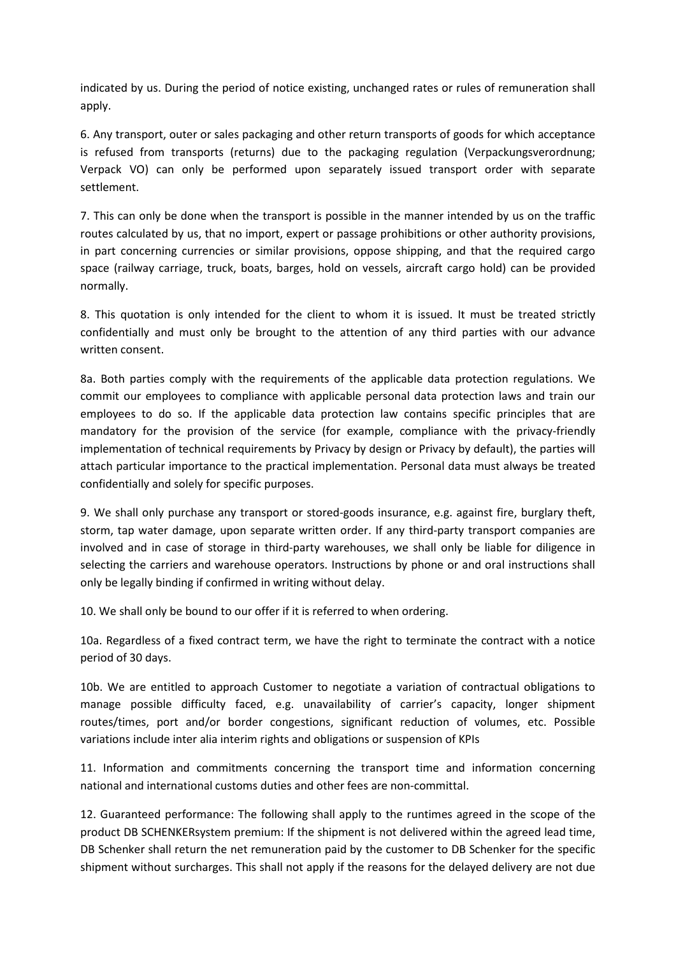indicated by us. During the period of notice existing, unchanged rates or rules of remuneration shall apply.

6. Any transport, outer or sales packaging and other return transports of goods for which acceptance is refused from transports (returns) due to the packaging regulation (Verpackungsverordnung; Verpack VO) can only be performed upon separately issued transport order with separate settlement.

7. This can only be done when the transport is possible in the manner intended by us on the traffic routes calculated by us, that no import, expert or passage prohibitions or other authority provisions, in part concerning currencies or similar provisions, oppose shipping, and that the required cargo space (railway carriage, truck, boats, barges, hold on vessels, aircraft cargo hold) can be provided normally.

8. This quotation is only intended for the client to whom it is issued. It must be treated strictly confidentially and must only be brought to the attention of any third parties with our advance written consent.

8a. Both parties comply with the requirements of the applicable data protection regulations. We commit our employees to compliance with applicable personal data protection laws and train our employees to do so. If the applicable data protection law contains specific principles that are mandatory for the provision of the service (for example, compliance with the privacy-friendly implementation of technical requirements by Privacy by design or Privacy by default), the parties will attach particular importance to the practical implementation. Personal data must always be treated confidentially and solely for specific purposes.

9. We shall only purchase any transport or stored-goods insurance, e.g. against fire, burglary theft, storm, tap water damage, upon separate written order. If any third-party transport companies are involved and in case of storage in third-party warehouses, we shall only be liable for diligence in selecting the carriers and warehouse operators. Instructions by phone or and oral instructions shall only be legally binding if confirmed in writing without delay.

10. We shall only be bound to our offer if it is referred to when ordering.

10a. Regardless of a fixed contract term, we have the right to terminate the contract with a notice period of 30 days.

10b. We are entitled to approach Customer to negotiate a variation of contractual obligations to manage possible difficulty faced, e.g. unavailability of carrier's capacity, longer shipment routes/times, port and/or border congestions, significant reduction of volumes, etc. Possible variations include inter alia interim rights and obligations or suspension of KPIs

11. Information and commitments concerning the transport time and information concerning national and international customs duties and other fees are non-committal.

12. Guaranteed performance: The following shall apply to the runtimes agreed in the scope of the product DB SCHENKERsystem premium: If the shipment is not delivered within the agreed lead time, DB Schenker shall return the net remuneration paid by the customer to DB Schenker for the specific shipment without surcharges. This shall not apply if the reasons for the delayed delivery are not due